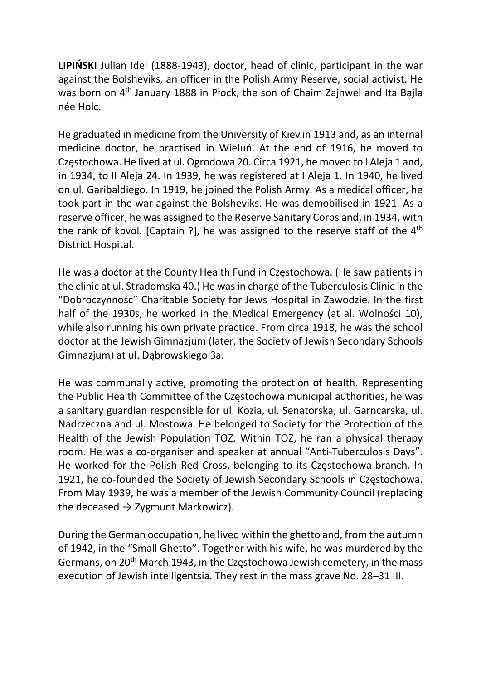LIPIŃSKI Julian Idel (1888-1943), doctor, head of clinic, participant in the war against the Bolsheviks, an officer in the Polish Army Reserve, social activist. He was born on 4<sup>th</sup> January 1888 in Płock, the son of Chaim Zajnwel and Ita Bajla née Holc.

He graduated in medicine from the University of Kiev in 1913 and, as an internal medicine doctor, he practised in Wieluń. At the end of 1916, he moved to Częstochowa. He lived at ul. Ogrodowa 20. Circa 1921, he moved to I Aleja 1 and, in 1934, to II Aleja 24. In 1939, he was registered at I Aleja 1. In 1940, he lived on ul. Garibaldiego. In 1919, he joined the Polish Army. As a medical officer, he took part in the war against the Bolsheviks. He was demobilised in 1921. As a reserve officer, he was assigned to the Reserve Sanitary Corps and, in 1934, with the rank of kpvol. [Captain ?], he was assigned to the reserve staff of the 4<sup>th</sup> District Hospital.

He was a doctor at the County Health Fund in Częstochowa. (He saw patients in the clinic at ul. Stradomska 40.) He was in charge of the Tuberculosis Clinic in the "Dobroczynność" Charitable Society for Jews Hospital in Zawodzie. In the first half of the 1930s, he worked in the Medical Emergency (at al. Wolności 10), while also running his own private practice. From circa 1918, he was the school doctor at the Jewish Gimnazjum (later, the Society of Jewish Secondary Schools Gimnazjum) at ul. Dąbrowskiego 3a.

He was communally active, promoting the protection of health. Representing the Public Health Committee of the Częstochowa municipal authorities, he was a sanitary guardian responsible for ul. Kozia, ul. Senatorska, ul. Garncarska, ul. Nadrzeczna and ul. Mostowa. He belonged to Society for the Protection of the Health of the Jewish Population TOZ. Within TOZ, he ran a physical therapy room. He was a co-organiser and speaker at annual "Anti-Tuberculosis Days". He worked for the Polish Red Cross, belonging to its Częstochowa branch. In 1921, he co-founded the Society of Jewish Secondary Schools in Częstochowa. From May 1939, he was a member of the Jewish Community Council (replacing the deceased  $\rightarrow$  Zygmunt Markowicz).

During the German occupation, he lived within the ghetto and, from the autumn of 1942, in the "Small Ghetto". Together with his wife, he was murdered by the Germans, on 20<sup>th</sup> March 1943, in the Częstochowa Jewish cemetery, in the mass execution of Jewish intelligentsia. They rest in the mass grave No. 28–31 III.